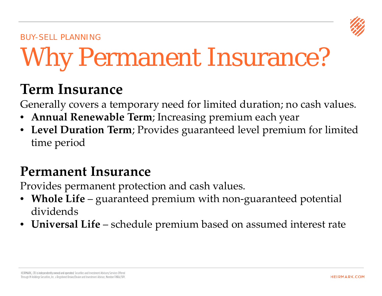

#### BUY-SELL PLANNING

# Why Permanent Insurance?

## **Term Insurance**

Generally covers a temporary need for limited duration; no cash values.

- **Annual Renewable Term**; Increasing premium each year
- **Level Duration Term**; Provides guaranteed level premium for limited time period

## **Permanent Insurance**

Provides permanent protection and cash values.

- **Whole Life** guaranteed premium with non-guaranteed potential dividends
- **Universal Life** schedule premium based on assumed interest rate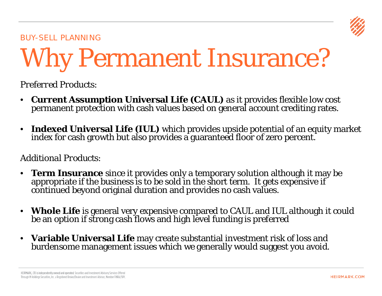

#### BUY-SELL PLANNING

## Why Permanent Insurance?

*Preferred Products:*

- **Current Assumption Universal Life (CAUL)** as it provides flexible low cost permanent protection with cash values based on general account crediting rates.
- **Indexed Universal Life (IUL)** which provides upside potential of an equity market index for cash growth but also provides a guaranteed floor of zero percent.

#### *Additional Products:*

- **Term Insurance** since it provides only a temporary solution although it may be appropriate if the business is to be sold in the short term. It gets expensive if continued beyond original duration and provides no cash values.
- **Whole Life** is general very expensive compared to CAUL and IUL although it could be an option if strong cash flows and high level funding is preferred
- **Variable Universal Life** may create substantial investment risk of loss and burdensome management issues which we generally would suggest you avoid.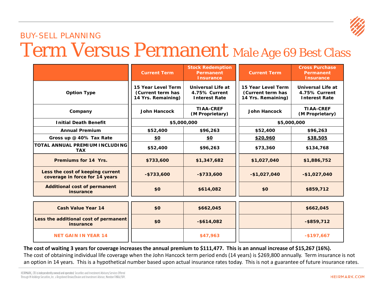

## BUY-SELL PLANNING Term Versus Permanent Male Age 69 Best Class

|                                                                    | <b>Current Term</b>                                           | <b>Stock Redemption</b><br><b>Permanent</b><br><b>Insurance</b>   | <b>Current Term</b>                                           | <b>Cross Purchase</b><br>Permanent<br><b>Insurance</b>     |  |
|--------------------------------------------------------------------|---------------------------------------------------------------|-------------------------------------------------------------------|---------------------------------------------------------------|------------------------------------------------------------|--|
| <b>Option Type</b>                                                 | 15 Year Level Term<br>(Current term has<br>14 Yrs. Remaining) | <b>Universal Life at</b><br>4.75% Current<br><b>Interest Rate</b> | 15 Year Level Term<br>(Current term has<br>14 Yrs. Remaining) | Universal Life at<br>4.75% Current<br><b>Interest Rate</b> |  |
| Company                                                            | <b>John Hancock</b>                                           | <b>TIAA-CREF</b><br>(M Proprietary)                               | <b>John Hancock</b>                                           | <b>TIAA-CREF</b><br>(M Proprietary)                        |  |
| <b>Initial Death Benefit</b>                                       |                                                               | \$5,000,000                                                       | \$5,000,000                                                   |                                                            |  |
| <b>Annual Premium</b>                                              | \$52,400                                                      | \$96,263                                                          | \$52,400                                                      | \$96,263                                                   |  |
| Gross up @ 40% Tax Rate                                            | <u>\$0</u>                                                    | <u>\$0</u>                                                        | \$20,960                                                      | \$38,505                                                   |  |
| <b>TOTAL ANNUAL PREMIUM INCLUDING</b><br><b>TAX</b>                | \$52,400                                                      | \$96,263                                                          | \$73,360                                                      | \$134,768                                                  |  |
| Premiums for 14 Yrs.                                               | \$733,600                                                     | \$1,347,682                                                       | \$1,027,040                                                   | \$1,886,752                                                |  |
| Less the cost of keeping current<br>coverage in force for 14 years | $-$733,600$                                                   | $-$ \$733,600                                                     | $-$1,027,040$                                                 | $-$1,027,040$                                              |  |
| <b>Additional cost of permanent</b><br>insurance                   | \$0                                                           | \$614,082                                                         | \$0                                                           | \$859,712                                                  |  |

| <b>Cash Value Year 14</b>                                 | \$0 | \$662,045     | \$662,045     |
|-----------------------------------------------------------|-----|---------------|---------------|
| Less the additional cost of permanent<br><b>insurance</b> | \$0 | $-$ \$614,082 | $-$ \$859,712 |
| <b>NET GAIN IN YEAR 14</b>                                |     | \$47,963      | $-$197,667$   |

**The cost of waiting 3 years for coverage increases the annual premium to \$111,477. This is an annual increase of \$15,267 (16%).** The cost of obtaining individual life coverage when the John Hancock term period ends (14 years) is \$269,800 annually. Term insurance is not an option in 14 years. This is a hypothetical number based upon actual insurance rates today. This is not a guarantee of future insurance rates.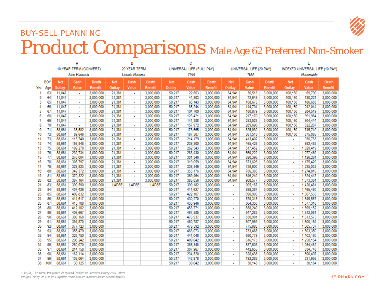

## BUY-SELL PLANNING Product Comparisons Male Age 62 Preferred Non-Smoker

|                        |              |              |                             | B                         |              | е                        |                | D           |                                 | E              |                          |         |                |                          |           |                |
|------------------------|--------------|--------------|-----------------------------|---------------------------|--------------|--------------------------|----------------|-------------|---------------------------------|----------------|--------------------------|---------|----------------|--------------------------|-----------|----------------|
| 10 YEAR TERM (CONVERT) |              | 20 YEAR TERM |                             | UNIVERSAL LIFE (FULL PAY) |              | UNIVERSAL LIFE (20 PAY)  |                |             | INDEXED UNIVERSAL LIFE (10 PAY) |                |                          |         |                |                          |           |                |
|                        | John Hancock |              |                             | <b>Lincoln National</b>   |              | TIAA                     |                | <b>TIAA</b> |                                 |                | Nationwide               |         |                |                          |           |                |
|                        | EOY          | <b>Net</b>   | Cash                        | <b>Death</b>              | <b>Net</b>   | Cash                     | <b>Death</b>   | <b>Net</b>  | Cash                            | <b>Death</b>   | <b>Net</b>               | Cash    | <b>Death</b>   | <b>Net</b>               | Cash      | <b>Death</b>   |
| Yrs                    | Age          | Outlay       | Value                       | <b>Benefit</b>            | Outlay       | Value                    | <b>Benefit</b> | Outlay      | Value                           | <b>Benefit</b> | Outlay                   | Value   | <b>Benefit</b> | Outlay                   | Value     | <b>Benefit</b> |
| -1                     | 63           | 11.047       | $\mathcal{L}_{\mathcal{A}}$ | 3.000.000                 | 21,381       | $\mathbf{r}$             | 3,000,000      | 50,217      | 22.663                          | 3.000.000      | 64.941                   | 36.513  | 3.000.000      | 100.150                  | 69.790    | 3.000.000      |
| 2                      | 64           | 11.047       | $\sim$                      | 3.000.000                 | 21,381       | $\mathbf{r}$             | 3,000,000      | 50,217      | 44,303                          | 3,000,000      | 64.941                   | 72,649  | 3,000,000      | 100,150                  | 130.221   | 3,000,000      |
| 3                      | 65           | 11.047       | $\overline{\phantom{a}}$    | 3.000.000                 | 21.381       | $\sim$                   | 3,000,000      | 50.217      | 65.143                          | 3,000,000      | 64.941                   | 108.675 | 3,000,000      | 100,150                  | 186,683   | 3,000,000      |
| 4                      | 66           | 11.047       |                             | 3.000.000                 | 21,381       |                          | 3.000.000      | 50,217      | 85.244                          | 3.000.000      | 64.941                   | 144,704 | 3.000.000      | 100.150                  | 242.044   | 3,000,000      |
| 5                      | 67           | 11,047       | $\sim$                      | 3,000,000                 | 21,381       | $\sim$                   | 3,000,000      | 50,217      | 104,700                         | 3,000,000      | 64.941                   | 180,879 | 3,000,000      | 100,150                  | 284,519   | 3,000,000      |
| 6                      | 68           | 11.047       | ÷.                          | 3.000.000                 | 21.381       | $\mathbf{r}$             | 3,000,000      | 50.217      | 123.421                         | 3.000.000      | 64.941                   | 217,170 | 3,000,000      | 100.150                  | 391.984   | 3,000,000      |
| 7                      | 69           | 11.047       |                             | 3.000.000                 | 21,381       |                          | 3,000,000      | 50,217      | 141,288                         | 3,000,000      | 64,941                   | 253,523 | 3,000,000      | 100,150                  | 504,444   | 3,000,000      |
| 8                      | 70           | 11,047       | $\mathbb{Z}^2$              | 3,000,000                 | 21,381       | $\mathbf{r}$             | 3,000,000      | 50,217      | 157,972                         | 3,000,000      | 64.941                   | 289,690 | 3,000,000      | 100,150                  | 622.267   | 3,000,000      |
| 9                      | 71           | 88.661       | 35.582                      | 3.000.000                 | 21.381       | $\sim$                   | 3,000,000      | 50.217      | 173,665                         | 3.000.000      | 64,941                   | 325.930 | 3,000,000      | 100.150                  | 745.740   | 3,000,000      |
| 10                     | 72           | 88,661       | 69,646                      | 3,000,000                 | 21,381       | $\tilde{\phantom{a}}$    | 3,000,000      | 50,217      | 187,507                         | 3,000,000      | 64,941                   | 361,515 | 3,000,000      | 100,150                  | 875,065   | 3,000,000      |
| 11                     | 73           | 88.661       | 113,740                     | 3.000.000                 | 21,381       | $\mathbf{r}$             | 3,000,000      | 50,217      | 214.179                         | 3,000,000      | 64.941                   | 413,402 | 3,000,000      | $\mathbf{r}$             | 936.763   | 3,000,000      |
| 12                     | 74           | 88.661       | 156,845                     | 3,000,000                 | 21,381       | $\blacksquare$           | 3,000,000      | 50,217      | 239,300                         | 3,000,000      | 64,941                   | 465,428 | 3,000,000      | $\sim$                   | 982,483   | 3,000,000      |
| 13                     | 75           | 88.661       | 199,278                     | 3,000,000                 | 21,381       | $\overline{a}$           | 3,000,000      | 50,217      | 262.543                         | 3,000,000      | 64.941                   | 517,452 | 3,000,000      |                          | 1,029,419 | 3,000,000      |
| 14                     | 76           | 88.661       | 239.734                     | 3.000.000                 | 21,381       | $\sim$                   | 3,000,000      | 50,217      | 283.430                         | 3.000.000      | 64.941                   | 569,222 | 3,000,000      |                          | 1.077.469 | 3,000,000      |
| 15                     | 77           | 88.661       | 276.004                     | 3.000.000                 | 21.381       | $\blacksquare$           | 3.000.000      | 50.217      | 301,346                         | 3.000.000      | 64.941                   | 620.396 | 3.000.000      | $\blacksquare$           | 1.126.261 | 3,000,000      |
| 16                     | 78           | 88,661       | 305,797                     | 3,000,000                 | 21,381       | $\sim$                   | 3,000,000      | 50,217      | 319,059                         | 3,000,000      | 64.941                   | 673,626 | 3,000,000      |                          | 1,175,429 | 3,000,000      |
| 17                     | 79           | 88.661       | 329.823                     | 3.000.000                 | 21,381       | ÷.                       | 3.000.000      | 50.217      | 336.349                         | 3.000.000      | 64.941                   | 728,900 | 3,000,000      |                          | 1.225.033 | 3,000,000      |
| 18                     | 80           | 88.661       | 349,372                     | 3.000.000                 | 21,381       | $\blacksquare$           | 3,000,000      | 50,217      | 353,176                         | 3,000,000      | 64.941                   | 786,385 | 3,000,000      | $\blacksquare$           | 1,274,816 | 3,000,000      |
| 19                     | 81           | 88,661       | 370,322                     | 3,000,000                 | 21,381       | $\sim$                   | 3,000,000      | 50,217      | 369,464                         | 3,000,000      | 64.941                   | 846,240 | 3,000,000      | $\ddot{\phantom{0}}$     | 1,324,447 | 3,000,000      |
| 20                     | 82           | 88.661       | 387.164                     | 3.000.000                 | 21.381       | $\overline{\phantom{a}}$ | 3.000.000      | 50,217      | 385.056                         | 3.000.000      | 64.941                   | 908.577 | 3,000,000      |                          | 1,373,361 | 3,000,000      |
| 21                     | 83           | 88.661       | 399,590                     | 3,000,000                 | <b>LAPSE</b> | <b>LAPSE</b>             | <b>LAPSE</b>   | 50,217      | 399,182                         | 3,000,000      | ÷.                       | 905,167 | 3,000,000      | $\blacksquare$           | 1,420,481 | 3,000,000      |
| 22                     | 84           | 88.661       | 407.426                     | 3.000.000                 |              |                          |                | 50.217      | 411.627                         | 3.000.000      | $\mathbf{r}$             | 899.387 | 3,000,000      | ÷                        | 1.465.480 | 3,000,000      |
| 23                     | 85           | 88.661       | 409,832                     | 3,000,000                 |              |                          |                | 50,217      | 422,107                         | 3,000,000      | $\overline{\phantom{a}}$ | 890,905 | 3,000,000      |                          | 1,507,533 | 3,000,000      |
| 24                     | 86           | 88.661       | 414.617                     | 3.000.000                 |              |                          |                | 50.217      | 430.270                         | 3,000,000      | $\sim$                   | 879,315 | 3,000,000      | $\sim$                   | 1,545,567 | 3,000,000      |
| 25                     | 87           | 88.661       | 415.708                     | 3,000,000                 |              |                          |                | 50.217      | 435.946                         | 3,000,000      | $\sim$                   | 864,350 | 3,000,000      |                          | 1,577,318 | 3,000,000      |
| 26                     | 88           | 88.661       | 412.102                     | 3.000.000                 |              |                          |                | 50,217      | 453.771                         | 3,000,000      |                          | 858,240 | 3,000,000      |                          | 1,599,152 | 3,000,000      |
| 27                     | 89           | 88.661       | 406.667                     | 3.000.000                 |              |                          |                | 50.217      | 467,585                         | 3,000,000      | $\sim$                   | 847,283 | 3,000,000      | $\sim$                   | 1,612,061 | 3,000,000      |
| 28                     | 90           | 88.661       | 398,168                     | 3,000,000                 |              |                          |                | 50,217      | 476,937                         | 3,000,000      | $\mathbf{r}$             | 830,901 | 3,000,000      | $\mathbf{r}$             | 1,613,573 | 3,000,000      |
| 29                     | 91           | 88.661       | 391,870                     | 3,000,000                 |              |                          |                | 50,217      | 480,787                         | 3,000,000      |                          | 807,969 | 3,000,000      |                          | 1,600,164 | 3,000,000      |
| 30                     | 92           | 88.661       | 377,723                     | 3,000,000                 |              |                          |                | 50,217      | 476,592                         | 3,000,000      | $\mathbf{r}$             | 775,983 | 3,000,000      | $\mathbf{r}$             | 1,565,737 | 3,000,000      |
| 31                     | 93           | 88.661       | 355.479                     | 3,000,000                 |              |                          |                | 50.217      | 463.073                         | 3,000,000      | $\sim$                   | 733.468 | 3,000,000      | $\blacksquare$           | 1,503,350 | 3,000,000      |
| 32                     | 94           | 88,661       | 328,750                     | 3.000.000                 |              |                          |                | 50,217      | 441,048                         | 3,000,000      |                          | 680,779 | 3,000,000      |                          | 1,403,180 | 3,000,000      |
| 33                     | 95           | 88.661       | 298.242                     | 3.000.000                 |              |                          |                | 50,217      | 409.042                         | 3,000,000      | $\sim$                   | 616.173 | 3,000,000      | $\sim$                   | 1.250.154 | 3,000,000      |
| 34                     | 96           | 88.661       | 260,070                     | 3,000,000                 |              |                          |                | 50,217      | 365,348                         | 3,000,000      | $\sim$                   | 537,603 | 3,000,000      | $\overline{\phantom{a}}$ | 1,054,482 | 3,000,000      |
| 35                     | 97           | 88.661       | 214.758                     | 3.000.000                 |              |                          |                | 50,217      | 307.967                         | 3,000,000      |                          | 442,655 | 3,000,000      |                          | 834,748   | 3,000,000      |
| 36                     | 98           | 88.661       | 162,114                     | 3,000,000                 |              |                          |                | 50,217      | 234,520                         | 3,000,000      | $\sim$                   | 328,438 | 3,000,000      | $\sim$                   | 590,497   | 3,000,000      |
| 37                     | 99           | 88.661       | 102.064                     | 3.000.000                 |              |                          |                | 50.217      | 142.978                         | 3,000,000      |                          | 192.282 | 3,000,000      |                          | 321,958   | 3,000,000      |
| 38                     | 100          | 88.661       | 30.125                      | 3.000.000                 |              |                          |                | 50.217      | 30.042                          | 3,000,000      |                          | 30.143  | 3,000,000      |                          | 30.184    | 3,000,000      |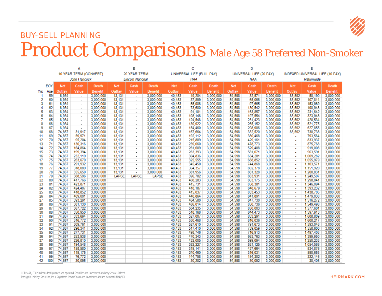

## BUY-SELL PLANNING Product Comparisons Male Age 58 Preferred Non-Smoker

| UNIVERSAL LIFE (FULL PAY)<br>10 YEAR TERM (CONVERT)<br>20 YEAR TERM<br>UNIVERSAL LIFE (20 PAY)<br>INDEXED UNIVERSAL LIFE (10 PAY)<br>John Hancock<br><b>Lincoln National</b><br><b>TIAA</b><br><b>TIAA</b><br>Nationwide<br>EOY<br><b>Net</b><br>Cash<br>Death<br><b>Net</b><br>Cash<br><b>Death</b><br><b>Net</b><br>Cash<br>Cash<br><b>Net</b><br>Cash<br><b>Death</b><br><b>Death</b><br><b>Net</b><br><b>Death</b><br>Value<br>Value<br>Outlay<br>Value<br>Outlay<br>Value<br><b>Benefit</b><br>Outlav<br>Value<br><b>Benefit</b><br>Outlay<br><b>Benefit</b><br>Outlay<br><b>Benefit</b><br><b>Benefit</b><br>Yrs<br>Age<br>54,598<br>83.592<br>59<br>6.934<br>13,131<br>3.000.000<br>40.453<br>19.284<br>3.000.000<br>32.571<br>3.000.000<br>58.190<br>3.000.000<br>3.000.000<br>1<br>$\sim$<br>$\sim$<br>60<br>6.934<br>13.131<br>40.453<br>54,598<br>65,066<br>83.592<br>2<br>3.000.000<br>3,000,000<br>37.899<br>3.000.000<br>3,000,000<br>107.814<br>3,000,000<br>$\sim$<br>$\blacksquare$<br>97,665<br>83,592<br>3<br>61<br>6.934<br>13.131<br>3.000.000<br>40.453<br>55,986<br>3.000.000<br>54,598<br>3.000.000<br>153.969<br>3.000.000<br>3.000.000<br>$\sim$<br>$\blacksquare$<br>4<br>62<br>6.934<br>40.453<br>54,598<br>130.542<br>83,592<br>3.000.000<br>13.131<br>3.000.000<br>73.680<br>3.000.000<br>3.000.000<br>198.948<br>3.000.000<br>$\sim$<br>$\sim$<br>5<br>63<br>163,857<br>83,592<br>6,934<br>3.000.000<br>13.131<br>3.000.000<br>40.453<br>91.101<br>3,000,000<br>54.598<br>3.000.000<br>231.642<br>3.000.000<br>$\sim$<br>$\sim$<br>6<br>64<br>6.934<br>13.131<br>3,000,000<br>40.453<br>3,000,000<br>54.598<br>197.554<br>3.000.000<br>83.592<br>323,948<br>3,000,000<br>3,000,000<br>108.146<br>$\sim$<br>65<br>7<br>13.131<br>40.453<br>124.548<br>54.598<br>231.423<br>83,592<br>420.534<br>3,000,000<br>6.934<br>3.000.000<br>3.000.000<br>3,000,000<br>3.000.000<br>$\sim$<br>$\mathcal{L}_{\mathcal{A}}$<br>8<br>66<br>265,152<br>83,592<br>6.934<br>3.000.000<br>13,131<br>3,000,000<br>40,453<br>139.922<br>3,000,000<br>54.598<br>3,000,000<br>521.775<br>3,000,000<br>$\sim$<br>$\sim$<br>67<br>298,986<br>83,592<br>9<br>6.934<br>3,000,000<br>13,131<br>3,000,000<br>40,453<br>154,460<br>3,000,000<br>54.598<br>3,000,000<br>627,855<br>3.000.000<br>$\sim$<br>$\blacksquare$<br>68<br>74,867<br>3,000,000<br>13,131<br>40,453<br>167,664<br>54,598<br>332,520<br>3,000,000<br>83,592<br>738,738<br>3,000,000<br>10<br>31,917<br>3,000,000<br>3,000,000<br>$\sim$<br>69<br>793,564<br>3,000,000<br>74,867<br>59.971<br>3,000,000<br>13,131<br>3,000,000<br>40,453<br>192.112<br>3,000,000<br>54.598<br>380,468<br>3,000,000<br>11<br>÷<br>$\sim$<br>70<br>74.867<br>95.204<br>3.000.000<br>13,131<br>3,000,000<br>3.000.000<br>54.598<br>429,161<br>3.000.000<br>833,937<br>3.000.000<br>12<br>40.453<br>215,889<br>÷<br>$\sim$<br>71<br>478.773<br>875.768<br>3,000,000<br>13<br>74.867<br>130.316<br>3.000.000<br>13.131<br>3.000.000<br>40.453<br>239.060<br>3.000.000<br>54.598<br>3.000.000<br>$\blacksquare$<br>$\sim$<br>14<br>72<br>74.867<br>164.864<br>3.000.000<br>13.131<br>3.000.000<br>40.453<br>261.609<br>3,000,000<br>54.598<br>529.408<br>3,000,000<br>919.008<br>3.000.000<br>$\blacksquare$<br>$\sim$<br>73<br>581.071<br>963.591<br>3.000.000<br>15<br>199.394<br>13,131<br>3.000.000<br>40.453<br>283.393<br>3,000,000<br>54,598<br>3,000,000<br>74.867<br>3.000.000<br>$\overline{\phantom{a}}$<br>$\sim$<br>16<br>74<br>13,131<br>3,000,000<br>634,281<br>3,000,000<br>1,009,282<br>3,000,000<br>74,867<br>232,119<br>3,000,000<br>40.453<br>304,836<br>3,000,000<br>54,598<br>75<br>688.852<br>74.867<br>263.679<br>3,000,000<br>13.131<br>3,000,000<br>40.453<br>325.555<br>3.000.000<br>54.598<br>3.000.000<br>1.055.979<br>3.000.000<br>17<br>18<br>76<br>74.867<br>291.932<br>3.000.000<br>13.131<br>3,000,000<br>40.453<br>345,450<br>3.000.000<br>54.598<br>744,868<br>3,000,000<br>1,103,571<br>3,000,000<br>$\overline{a}$<br>802.378<br>77<br>74.867<br>318,089<br>3.000.000<br>13.131<br>3,000,000<br>40.453<br>364.357<br>3.000.000<br>54.598<br>3.000.000<br>1.151.920<br>3.000.000<br>19<br>$\blacksquare$<br>78<br>355.650<br>3.000.000<br>861.328<br>1.200.831<br>20<br>74.867<br>3.000.000<br>13.131<br>3.000.000<br>40.453<br>381.956<br>54.598<br>3.000.000<br>3.000.000<br>$\sim$<br>$\overline{\phantom{a}}$<br>79<br><b>LAPSE</b><br>LAPSE<br>40.453<br>863,931<br>21<br>74.867<br>388.596<br>3.000.000<br>LAPSE<br>396,782<br>3,000,000<br>54.598<br>3,000,000<br>1.249.507<br>3.000.000<br>22<br>80<br>417.766<br>40,453<br>408.283<br>3,000,000<br>54.598<br>863.175<br>1.298.041<br>3,000,000<br>74.867<br>3,000,000<br>3,000,000<br>$\sim$<br>23<br>81<br>40.453<br>54.598<br>858,381<br>1.346.094<br>3,000,000<br>74.867<br>423.871<br>3,000,000<br>415.731<br>3,000,000<br>3.000.000<br>24<br>82<br>848.679<br>74.867<br>424,407<br>3.000.000<br>40.453<br>418,187<br>3.000.000<br>54.598<br>3.000.000<br>1,393,232<br>3.000.000<br>$\sim$<br>25<br>83<br>40.453<br>74,867<br>418.852<br>415.037<br>3,000,000<br>54,598<br>833.453<br>1,438,705<br>3.000.000<br>3.000.000<br>3,000,000<br>26<br>84<br>40.453<br>841,891<br>74.867<br>409,001<br>3,000,000<br>440.864<br>3,000,000<br>54,598<br>3,000,000<br>1,479,038<br>3,000,000<br>$\sim$<br>27<br>85<br>40.453<br>847,730<br>74.867<br>393.291<br>3.000.000<br>464.580<br>3.000.000<br>54.598<br>3.000.000<br>1.516.272<br>3.000.000<br>86<br>850,736<br>28<br>74,867<br>381.130<br>40.453<br>486.014<br>54.598<br>1,549,498<br>3.000.000<br>3,000,000<br>3,000,000<br>3.000.000<br>$\sim$<br>87<br>29<br>74.867<br>40.453<br>54,598<br>367.722<br>3.000.000<br>504.235<br>3.000.000<br>850.003<br>3.000.000<br>1.577.601<br>3,000,000<br>30<br>88<br>350,950<br>40.453<br>518,168<br>54,598<br>844.473<br>3.000.000<br>74.867<br>3.000.000<br>3.000.000<br>1.597.913<br>3.000.000<br>89<br>40.453<br>833,291<br>31<br>74.867<br>333.694<br>3,000,000<br>527.007<br>3,000,000<br>54,598<br>3,000,000<br>1,608,809<br>3,000,000<br>32<br>90<br>74.867<br>316.772<br>3,000,000<br>40,453<br>530.468<br>3,000,000<br>54,598<br>816,036<br>3,000,000<br>1,608,217<br>3,000,000<br>$\sim$<br>33<br>91<br>40,453<br>74,867<br>309,761<br>3,000,000<br>527.610<br>3,000,000<br>54.598<br>791,673<br>3,000,000<br>1,593,048<br>3,000,000<br>$\sim$<br>759,059<br>34<br>92<br>74.867<br>296.341<br>3,000,000<br>40.453<br>517,410<br>3,000,000<br>54.598<br>3,000,000<br>1.558.600<br>3,000,000<br>$\sim$<br>35<br>93<br>74.867<br>277.731<br>3.000.000<br>40.453<br>498.746<br>3.000.000<br>54.598<br>716.913<br>3.000.000<br>1.497.403<br>3,000,000<br>$\sim$<br>36<br>94<br>253.938<br>40.453<br>470.343<br>3.000.000<br>54.598<br>663.763<br>3.000.000<br>1.399.950<br>3.000.000<br>74.867<br>3.000.000<br>$\sim$<br>37<br>95<br>1,250,233<br>74.867<br>226.810<br>3.000.000<br>40.453<br>432.005<br>3,000,000<br>54.598<br>599.094<br>3.000.000<br>3.000.000<br>$\sim$<br>38<br>96<br>40.453<br>382.227<br>54,598<br>521.125<br>1.054.586<br>3.000.000<br>74.867<br>194,548<br>3.000.000<br>3,000,000<br>3,000,000<br>$\sim$<br>97<br>40.453<br>39<br>158,580<br>3,000,000<br>319,141<br>3,000,000<br>54.598<br>427,664<br>3,000,000<br>834,876<br>3,000,000<br>74,867<br>$\sim$<br>316.031<br>590.653<br>3,000,000<br>40<br>98<br>74,867<br>119,175<br>3.000.000<br>40.453<br>240.460<br>3.000.000<br>54.598<br>3.000.000<br>$\sim$<br>99<br>40.453<br>184.302<br>322.146<br>41<br>74.867<br>76,772<br>3,000,000<br>144,758<br>3.000.000<br>54.598<br>3,000,000<br>3.000.000<br>$\sim$<br>42<br>100<br>40,453<br>30,092<br>74,867<br>30,095<br>3,000,000<br>30,202<br>3,000,000<br>54,598<br>3,000,000<br>30,408<br>3,000,000 | A |  | в |  | с |  | D |  | E |  |  |  |  |  |  |  |
|---------------------------------------------------------------------------------------------------------------------------------------------------------------------------------------------------------------------------------------------------------------------------------------------------------------------------------------------------------------------------------------------------------------------------------------------------------------------------------------------------------------------------------------------------------------------------------------------------------------------------------------------------------------------------------------------------------------------------------------------------------------------------------------------------------------------------------------------------------------------------------------------------------------------------------------------------------------------------------------------------------------------------------------------------------------------------------------------------------------------------------------------------------------------------------------------------------------------------------------------------------------------------------------------------------------------------------------------------------------------------------------------------------------------------------------------------------------------------------------------------------------------------------------------------------------------------------------------------------------------------------------------------------------------------------------------------------------------------------------------------------------------------------------------------------------------------------------------------------------------------------------------------------------------------------------------------------------------------------------------------------------------------------------------------------------------------------------------------------------------------------------------------------------------------------------------------------------------------------------------------------------------------------------------------------------------------------------------------------------------------------------------------------------------------------------------------------------------------------------------------------------------------------------------------------------------------------------------------------------------------------------------------------------------------------------------------------------------------------------------------------------------------------------------------------------------------------------------------------------------------------------------------------------------------------------------------------------------------------------------------------------------------------------------------------------------------------------------------------------------------------------------------------------------------------------------------------------------------------------------------------------------------------------------------------------------------------------------------------------------------------------------------------------------------------------------------------------------------------------------------------------------------------------------------------------------------------------------------------------------------------------------------------------------------------------------------------------------------------------------------------------------------------------------------------------------------------------------------------------------------------------------------------------------------------------------------------------------------------------------------------------------------------------------------------------------------------------------------------------------------------------------------------------------------------------------------------------------------------------------------------------------------------------------------------------------------------------------------------------------------------------------------------------------------------------------------------------------------------------------------------------------------------------------------------------------------------------------------------------------------------------------------------------------------------------------------------------------------------------------------------------------------------------------------------------------------------------------------------------------------------------------------------------------------------------------------------------------------------------------------------------------------------------------------------------------------------------------------------------------------------------------------------------------------------------------------------------------------------------------------------------------------------------------------------------------------------------------------------------------------------------------------------------------------------------------------------------------------------------------------------------------------------------------------------------------------------------------------------------------------------------------------------------------------------------------------------------------------------------------------------------------------------------------------------------------------------------------------------------------------------------------------------------------------------------------------------------------------------------------------------------------------------------------------------------------------------------------------------------------------------------------------------------------------------------------------------------------------------------------------------------------------------------------------------------------------------------------------------------------------------------------------------------------------------------------------------------------------------------------------------------------------------------------------------------------------------------------------------------------------------------------------------------------------------------------------------------------------------------------------------------------------------------------------------------------------------------------------------------------------------------------------------------------------------------------------------------------------------------------------------------------------------------------------------------------------------------------------------------------------------------------------------------------------------------------------------------------------------------------------------------------------------------------------------------------------------------------------------------------------------------------------------------------------------------------------------------------------------------------------------------------------------------------------------------------------------------------------------------------------------------------------------------------------------------------------------------------------------------------------------------------------------|---|--|---|--|---|--|---|--|---|--|--|--|--|--|--|--|
|                                                                                                                                                                                                                                                                                                                                                                                                                                                                                                                                                                                                                                                                                                                                                                                                                                                                                                                                                                                                                                                                                                                                                                                                                                                                                                                                                                                                                                                                                                                                                                                                                                                                                                                                                                                                                                                                                                                                                                                                                                                                                                                                                                                                                                                                                                                                                                                                                                                                                                                                                                                                                                                                                                                                                                                                                                                                                                                                                                                                                                                                                                                                                                                                                                                                                                                                                                                                                                                                                                                                                                                                                                                                                                                                                                                                                                                                                                                                                                                                                                                                                                                                                                                                                                                                                                                                                                                                                                                                                                                                                                                                                                                                                                                                                                                                                                                                                                                                                                                                                                                                                                                                                                                                                                                                                                                                                                                                                                                                                                                                                                                                                                                                                                                                                                                                                                                                                                                                                                                                                                                                                                                                                                                                                                                                                                                                                                                                                                                                                                                                                                                                                                                                                                                                                                                                                                                                                                                                                                                                                                                                                                                                                                                                                                                                                                                                                                                                                                                                                                                                                                                                                                                                                                                                                                                 |   |  |   |  |   |  |   |  |   |  |  |  |  |  |  |  |
|                                                                                                                                                                                                                                                                                                                                                                                                                                                                                                                                                                                                                                                                                                                                                                                                                                                                                                                                                                                                                                                                                                                                                                                                                                                                                                                                                                                                                                                                                                                                                                                                                                                                                                                                                                                                                                                                                                                                                                                                                                                                                                                                                                                                                                                                                                                                                                                                                                                                                                                                                                                                                                                                                                                                                                                                                                                                                                                                                                                                                                                                                                                                                                                                                                                                                                                                                                                                                                                                                                                                                                                                                                                                                                                                                                                                                                                                                                                                                                                                                                                                                                                                                                                                                                                                                                                                                                                                                                                                                                                                                                                                                                                                                                                                                                                                                                                                                                                                                                                                                                                                                                                                                                                                                                                                                                                                                                                                                                                                                                                                                                                                                                                                                                                                                                                                                                                                                                                                                                                                                                                                                                                                                                                                                                                                                                                                                                                                                                                                                                                                                                                                                                                                                                                                                                                                                                                                                                                                                                                                                                                                                                                                                                                                                                                                                                                                                                                                                                                                                                                                                                                                                                                                                                                                                                                 |   |  |   |  |   |  |   |  |   |  |  |  |  |  |  |  |
|                                                                                                                                                                                                                                                                                                                                                                                                                                                                                                                                                                                                                                                                                                                                                                                                                                                                                                                                                                                                                                                                                                                                                                                                                                                                                                                                                                                                                                                                                                                                                                                                                                                                                                                                                                                                                                                                                                                                                                                                                                                                                                                                                                                                                                                                                                                                                                                                                                                                                                                                                                                                                                                                                                                                                                                                                                                                                                                                                                                                                                                                                                                                                                                                                                                                                                                                                                                                                                                                                                                                                                                                                                                                                                                                                                                                                                                                                                                                                                                                                                                                                                                                                                                                                                                                                                                                                                                                                                                                                                                                                                                                                                                                                                                                                                                                                                                                                                                                                                                                                                                                                                                                                                                                                                                                                                                                                                                                                                                                                                                                                                                                                                                                                                                                                                                                                                                                                                                                                                                                                                                                                                                                                                                                                                                                                                                                                                                                                                                                                                                                                                                                                                                                                                                                                                                                                                                                                                                                                                                                                                                                                                                                                                                                                                                                                                                                                                                                                                                                                                                                                                                                                                                                                                                                                                                 |   |  |   |  |   |  |   |  |   |  |  |  |  |  |  |  |
|                                                                                                                                                                                                                                                                                                                                                                                                                                                                                                                                                                                                                                                                                                                                                                                                                                                                                                                                                                                                                                                                                                                                                                                                                                                                                                                                                                                                                                                                                                                                                                                                                                                                                                                                                                                                                                                                                                                                                                                                                                                                                                                                                                                                                                                                                                                                                                                                                                                                                                                                                                                                                                                                                                                                                                                                                                                                                                                                                                                                                                                                                                                                                                                                                                                                                                                                                                                                                                                                                                                                                                                                                                                                                                                                                                                                                                                                                                                                                                                                                                                                                                                                                                                                                                                                                                                                                                                                                                                                                                                                                                                                                                                                                                                                                                                                                                                                                                                                                                                                                                                                                                                                                                                                                                                                                                                                                                                                                                                                                                                                                                                                                                                                                                                                                                                                                                                                                                                                                                                                                                                                                                                                                                                                                                                                                                                                                                                                                                                                                                                                                                                                                                                                                                                                                                                                                                                                                                                                                                                                                                                                                                                                                                                                                                                                                                                                                                                                                                                                                                                                                                                                                                                                                                                                                                                 |   |  |   |  |   |  |   |  |   |  |  |  |  |  |  |  |
|                                                                                                                                                                                                                                                                                                                                                                                                                                                                                                                                                                                                                                                                                                                                                                                                                                                                                                                                                                                                                                                                                                                                                                                                                                                                                                                                                                                                                                                                                                                                                                                                                                                                                                                                                                                                                                                                                                                                                                                                                                                                                                                                                                                                                                                                                                                                                                                                                                                                                                                                                                                                                                                                                                                                                                                                                                                                                                                                                                                                                                                                                                                                                                                                                                                                                                                                                                                                                                                                                                                                                                                                                                                                                                                                                                                                                                                                                                                                                                                                                                                                                                                                                                                                                                                                                                                                                                                                                                                                                                                                                                                                                                                                                                                                                                                                                                                                                                                                                                                                                                                                                                                                                                                                                                                                                                                                                                                                                                                                                                                                                                                                                                                                                                                                                                                                                                                                                                                                                                                                                                                                                                                                                                                                                                                                                                                                                                                                                                                                                                                                                                                                                                                                                                                                                                                                                                                                                                                                                                                                                                                                                                                                                                                                                                                                                                                                                                                                                                                                                                                                                                                                                                                                                                                                                                                 |   |  |   |  |   |  |   |  |   |  |  |  |  |  |  |  |
|                                                                                                                                                                                                                                                                                                                                                                                                                                                                                                                                                                                                                                                                                                                                                                                                                                                                                                                                                                                                                                                                                                                                                                                                                                                                                                                                                                                                                                                                                                                                                                                                                                                                                                                                                                                                                                                                                                                                                                                                                                                                                                                                                                                                                                                                                                                                                                                                                                                                                                                                                                                                                                                                                                                                                                                                                                                                                                                                                                                                                                                                                                                                                                                                                                                                                                                                                                                                                                                                                                                                                                                                                                                                                                                                                                                                                                                                                                                                                                                                                                                                                                                                                                                                                                                                                                                                                                                                                                                                                                                                                                                                                                                                                                                                                                                                                                                                                                                                                                                                                                                                                                                                                                                                                                                                                                                                                                                                                                                                                                                                                                                                                                                                                                                                                                                                                                                                                                                                                                                                                                                                                                                                                                                                                                                                                                                                                                                                                                                                                                                                                                                                                                                                                                                                                                                                                                                                                                                                                                                                                                                                                                                                                                                                                                                                                                                                                                                                                                                                                                                                                                                                                                                                                                                                                                                 |   |  |   |  |   |  |   |  |   |  |  |  |  |  |  |  |
|                                                                                                                                                                                                                                                                                                                                                                                                                                                                                                                                                                                                                                                                                                                                                                                                                                                                                                                                                                                                                                                                                                                                                                                                                                                                                                                                                                                                                                                                                                                                                                                                                                                                                                                                                                                                                                                                                                                                                                                                                                                                                                                                                                                                                                                                                                                                                                                                                                                                                                                                                                                                                                                                                                                                                                                                                                                                                                                                                                                                                                                                                                                                                                                                                                                                                                                                                                                                                                                                                                                                                                                                                                                                                                                                                                                                                                                                                                                                                                                                                                                                                                                                                                                                                                                                                                                                                                                                                                                                                                                                                                                                                                                                                                                                                                                                                                                                                                                                                                                                                                                                                                                                                                                                                                                                                                                                                                                                                                                                                                                                                                                                                                                                                                                                                                                                                                                                                                                                                                                                                                                                                                                                                                                                                                                                                                                                                                                                                                                                                                                                                                                                                                                                                                                                                                                                                                                                                                                                                                                                                                                                                                                                                                                                                                                                                                                                                                                                                                                                                                                                                                                                                                                                                                                                                                                 |   |  |   |  |   |  |   |  |   |  |  |  |  |  |  |  |
|                                                                                                                                                                                                                                                                                                                                                                                                                                                                                                                                                                                                                                                                                                                                                                                                                                                                                                                                                                                                                                                                                                                                                                                                                                                                                                                                                                                                                                                                                                                                                                                                                                                                                                                                                                                                                                                                                                                                                                                                                                                                                                                                                                                                                                                                                                                                                                                                                                                                                                                                                                                                                                                                                                                                                                                                                                                                                                                                                                                                                                                                                                                                                                                                                                                                                                                                                                                                                                                                                                                                                                                                                                                                                                                                                                                                                                                                                                                                                                                                                                                                                                                                                                                                                                                                                                                                                                                                                                                                                                                                                                                                                                                                                                                                                                                                                                                                                                                                                                                                                                                                                                                                                                                                                                                                                                                                                                                                                                                                                                                                                                                                                                                                                                                                                                                                                                                                                                                                                                                                                                                                                                                                                                                                                                                                                                                                                                                                                                                                                                                                                                                                                                                                                                                                                                                                                                                                                                                                                                                                                                                                                                                                                                                                                                                                                                                                                                                                                                                                                                                                                                                                                                                                                                                                                                                 |   |  |   |  |   |  |   |  |   |  |  |  |  |  |  |  |
|                                                                                                                                                                                                                                                                                                                                                                                                                                                                                                                                                                                                                                                                                                                                                                                                                                                                                                                                                                                                                                                                                                                                                                                                                                                                                                                                                                                                                                                                                                                                                                                                                                                                                                                                                                                                                                                                                                                                                                                                                                                                                                                                                                                                                                                                                                                                                                                                                                                                                                                                                                                                                                                                                                                                                                                                                                                                                                                                                                                                                                                                                                                                                                                                                                                                                                                                                                                                                                                                                                                                                                                                                                                                                                                                                                                                                                                                                                                                                                                                                                                                                                                                                                                                                                                                                                                                                                                                                                                                                                                                                                                                                                                                                                                                                                                                                                                                                                                                                                                                                                                                                                                                                                                                                                                                                                                                                                                                                                                                                                                                                                                                                                                                                                                                                                                                                                                                                                                                                                                                                                                                                                                                                                                                                                                                                                                                                                                                                                                                                                                                                                                                                                                                                                                                                                                                                                                                                                                                                                                                                                                                                                                                                                                                                                                                                                                                                                                                                                                                                                                                                                                                                                                                                                                                                                                 |   |  |   |  |   |  |   |  |   |  |  |  |  |  |  |  |
|                                                                                                                                                                                                                                                                                                                                                                                                                                                                                                                                                                                                                                                                                                                                                                                                                                                                                                                                                                                                                                                                                                                                                                                                                                                                                                                                                                                                                                                                                                                                                                                                                                                                                                                                                                                                                                                                                                                                                                                                                                                                                                                                                                                                                                                                                                                                                                                                                                                                                                                                                                                                                                                                                                                                                                                                                                                                                                                                                                                                                                                                                                                                                                                                                                                                                                                                                                                                                                                                                                                                                                                                                                                                                                                                                                                                                                                                                                                                                                                                                                                                                                                                                                                                                                                                                                                                                                                                                                                                                                                                                                                                                                                                                                                                                                                                                                                                                                                                                                                                                                                                                                                                                                                                                                                                                                                                                                                                                                                                                                                                                                                                                                                                                                                                                                                                                                                                                                                                                                                                                                                                                                                                                                                                                                                                                                                                                                                                                                                                                                                                                                                                                                                                                                                                                                                                                                                                                                                                                                                                                                                                                                                                                                                                                                                                                                                                                                                                                                                                                                                                                                                                                                                                                                                                                                                 |   |  |   |  |   |  |   |  |   |  |  |  |  |  |  |  |
|                                                                                                                                                                                                                                                                                                                                                                                                                                                                                                                                                                                                                                                                                                                                                                                                                                                                                                                                                                                                                                                                                                                                                                                                                                                                                                                                                                                                                                                                                                                                                                                                                                                                                                                                                                                                                                                                                                                                                                                                                                                                                                                                                                                                                                                                                                                                                                                                                                                                                                                                                                                                                                                                                                                                                                                                                                                                                                                                                                                                                                                                                                                                                                                                                                                                                                                                                                                                                                                                                                                                                                                                                                                                                                                                                                                                                                                                                                                                                                                                                                                                                                                                                                                                                                                                                                                                                                                                                                                                                                                                                                                                                                                                                                                                                                                                                                                                                                                                                                                                                                                                                                                                                                                                                                                                                                                                                                                                                                                                                                                                                                                                                                                                                                                                                                                                                                                                                                                                                                                                                                                                                                                                                                                                                                                                                                                                                                                                                                                                                                                                                                                                                                                                                                                                                                                                                                                                                                                                                                                                                                                                                                                                                                                                                                                                                                                                                                                                                                                                                                                                                                                                                                                                                                                                                                                 |   |  |   |  |   |  |   |  |   |  |  |  |  |  |  |  |
|                                                                                                                                                                                                                                                                                                                                                                                                                                                                                                                                                                                                                                                                                                                                                                                                                                                                                                                                                                                                                                                                                                                                                                                                                                                                                                                                                                                                                                                                                                                                                                                                                                                                                                                                                                                                                                                                                                                                                                                                                                                                                                                                                                                                                                                                                                                                                                                                                                                                                                                                                                                                                                                                                                                                                                                                                                                                                                                                                                                                                                                                                                                                                                                                                                                                                                                                                                                                                                                                                                                                                                                                                                                                                                                                                                                                                                                                                                                                                                                                                                                                                                                                                                                                                                                                                                                                                                                                                                                                                                                                                                                                                                                                                                                                                                                                                                                                                                                                                                                                                                                                                                                                                                                                                                                                                                                                                                                                                                                                                                                                                                                                                                                                                                                                                                                                                                                                                                                                                                                                                                                                                                                                                                                                                                                                                                                                                                                                                                                                                                                                                                                                                                                                                                                                                                                                                                                                                                                                                                                                                                                                                                                                                                                                                                                                                                                                                                                                                                                                                                                                                                                                                                                                                                                                                                                 |   |  |   |  |   |  |   |  |   |  |  |  |  |  |  |  |
|                                                                                                                                                                                                                                                                                                                                                                                                                                                                                                                                                                                                                                                                                                                                                                                                                                                                                                                                                                                                                                                                                                                                                                                                                                                                                                                                                                                                                                                                                                                                                                                                                                                                                                                                                                                                                                                                                                                                                                                                                                                                                                                                                                                                                                                                                                                                                                                                                                                                                                                                                                                                                                                                                                                                                                                                                                                                                                                                                                                                                                                                                                                                                                                                                                                                                                                                                                                                                                                                                                                                                                                                                                                                                                                                                                                                                                                                                                                                                                                                                                                                                                                                                                                                                                                                                                                                                                                                                                                                                                                                                                                                                                                                                                                                                                                                                                                                                                                                                                                                                                                                                                                                                                                                                                                                                                                                                                                                                                                                                                                                                                                                                                                                                                                                                                                                                                                                                                                                                                                                                                                                                                                                                                                                                                                                                                                                                                                                                                                                                                                                                                                                                                                                                                                                                                                                                                                                                                                                                                                                                                                                                                                                                                                                                                                                                                                                                                                                                                                                                                                                                                                                                                                                                                                                                                                 |   |  |   |  |   |  |   |  |   |  |  |  |  |  |  |  |
|                                                                                                                                                                                                                                                                                                                                                                                                                                                                                                                                                                                                                                                                                                                                                                                                                                                                                                                                                                                                                                                                                                                                                                                                                                                                                                                                                                                                                                                                                                                                                                                                                                                                                                                                                                                                                                                                                                                                                                                                                                                                                                                                                                                                                                                                                                                                                                                                                                                                                                                                                                                                                                                                                                                                                                                                                                                                                                                                                                                                                                                                                                                                                                                                                                                                                                                                                                                                                                                                                                                                                                                                                                                                                                                                                                                                                                                                                                                                                                                                                                                                                                                                                                                                                                                                                                                                                                                                                                                                                                                                                                                                                                                                                                                                                                                                                                                                                                                                                                                                                                                                                                                                                                                                                                                                                                                                                                                                                                                                                                                                                                                                                                                                                                                                                                                                                                                                                                                                                                                                                                                                                                                                                                                                                                                                                                                                                                                                                                                                                                                                                                                                                                                                                                                                                                                                                                                                                                                                                                                                                                                                                                                                                                                                                                                                                                                                                                                                                                                                                                                                                                                                                                                                                                                                                                                 |   |  |   |  |   |  |   |  |   |  |  |  |  |  |  |  |
|                                                                                                                                                                                                                                                                                                                                                                                                                                                                                                                                                                                                                                                                                                                                                                                                                                                                                                                                                                                                                                                                                                                                                                                                                                                                                                                                                                                                                                                                                                                                                                                                                                                                                                                                                                                                                                                                                                                                                                                                                                                                                                                                                                                                                                                                                                                                                                                                                                                                                                                                                                                                                                                                                                                                                                                                                                                                                                                                                                                                                                                                                                                                                                                                                                                                                                                                                                                                                                                                                                                                                                                                                                                                                                                                                                                                                                                                                                                                                                                                                                                                                                                                                                                                                                                                                                                                                                                                                                                                                                                                                                                                                                                                                                                                                                                                                                                                                                                                                                                                                                                                                                                                                                                                                                                                                                                                                                                                                                                                                                                                                                                                                                                                                                                                                                                                                                                                                                                                                                                                                                                                                                                                                                                                                                                                                                                                                                                                                                                                                                                                                                                                                                                                                                                                                                                                                                                                                                                                                                                                                                                                                                                                                                                                                                                                                                                                                                                                                                                                                                                                                                                                                                                                                                                                                                                 |   |  |   |  |   |  |   |  |   |  |  |  |  |  |  |  |
|                                                                                                                                                                                                                                                                                                                                                                                                                                                                                                                                                                                                                                                                                                                                                                                                                                                                                                                                                                                                                                                                                                                                                                                                                                                                                                                                                                                                                                                                                                                                                                                                                                                                                                                                                                                                                                                                                                                                                                                                                                                                                                                                                                                                                                                                                                                                                                                                                                                                                                                                                                                                                                                                                                                                                                                                                                                                                                                                                                                                                                                                                                                                                                                                                                                                                                                                                                                                                                                                                                                                                                                                                                                                                                                                                                                                                                                                                                                                                                                                                                                                                                                                                                                                                                                                                                                                                                                                                                                                                                                                                                                                                                                                                                                                                                                                                                                                                                                                                                                                                                                                                                                                                                                                                                                                                                                                                                                                                                                                                                                                                                                                                                                                                                                                                                                                                                                                                                                                                                                                                                                                                                                                                                                                                                                                                                                                                                                                                                                                                                                                                                                                                                                                                                                                                                                                                                                                                                                                                                                                                                                                                                                                                                                                                                                                                                                                                                                                                                                                                                                                                                                                                                                                                                                                                                                 |   |  |   |  |   |  |   |  |   |  |  |  |  |  |  |  |
|                                                                                                                                                                                                                                                                                                                                                                                                                                                                                                                                                                                                                                                                                                                                                                                                                                                                                                                                                                                                                                                                                                                                                                                                                                                                                                                                                                                                                                                                                                                                                                                                                                                                                                                                                                                                                                                                                                                                                                                                                                                                                                                                                                                                                                                                                                                                                                                                                                                                                                                                                                                                                                                                                                                                                                                                                                                                                                                                                                                                                                                                                                                                                                                                                                                                                                                                                                                                                                                                                                                                                                                                                                                                                                                                                                                                                                                                                                                                                                                                                                                                                                                                                                                                                                                                                                                                                                                                                                                                                                                                                                                                                                                                                                                                                                                                                                                                                                                                                                                                                                                                                                                                                                                                                                                                                                                                                                                                                                                                                                                                                                                                                                                                                                                                                                                                                                                                                                                                                                                                                                                                                                                                                                                                                                                                                                                                                                                                                                                                                                                                                                                                                                                                                                                                                                                                                                                                                                                                                                                                                                                                                                                                                                                                                                                                                                                                                                                                                                                                                                                                                                                                                                                                                                                                                                                 |   |  |   |  |   |  |   |  |   |  |  |  |  |  |  |  |
|                                                                                                                                                                                                                                                                                                                                                                                                                                                                                                                                                                                                                                                                                                                                                                                                                                                                                                                                                                                                                                                                                                                                                                                                                                                                                                                                                                                                                                                                                                                                                                                                                                                                                                                                                                                                                                                                                                                                                                                                                                                                                                                                                                                                                                                                                                                                                                                                                                                                                                                                                                                                                                                                                                                                                                                                                                                                                                                                                                                                                                                                                                                                                                                                                                                                                                                                                                                                                                                                                                                                                                                                                                                                                                                                                                                                                                                                                                                                                                                                                                                                                                                                                                                                                                                                                                                                                                                                                                                                                                                                                                                                                                                                                                                                                                                                                                                                                                                                                                                                                                                                                                                                                                                                                                                                                                                                                                                                                                                                                                                                                                                                                                                                                                                                                                                                                                                                                                                                                                                                                                                                                                                                                                                                                                                                                                                                                                                                                                                                                                                                                                                                                                                                                                                                                                                                                                                                                                                                                                                                                                                                                                                                                                                                                                                                                                                                                                                                                                                                                                                                                                                                                                                                                                                                                                                 |   |  |   |  |   |  |   |  |   |  |  |  |  |  |  |  |
|                                                                                                                                                                                                                                                                                                                                                                                                                                                                                                                                                                                                                                                                                                                                                                                                                                                                                                                                                                                                                                                                                                                                                                                                                                                                                                                                                                                                                                                                                                                                                                                                                                                                                                                                                                                                                                                                                                                                                                                                                                                                                                                                                                                                                                                                                                                                                                                                                                                                                                                                                                                                                                                                                                                                                                                                                                                                                                                                                                                                                                                                                                                                                                                                                                                                                                                                                                                                                                                                                                                                                                                                                                                                                                                                                                                                                                                                                                                                                                                                                                                                                                                                                                                                                                                                                                                                                                                                                                                                                                                                                                                                                                                                                                                                                                                                                                                                                                                                                                                                                                                                                                                                                                                                                                                                                                                                                                                                                                                                                                                                                                                                                                                                                                                                                                                                                                                                                                                                                                                                                                                                                                                                                                                                                                                                                                                                                                                                                                                                                                                                                                                                                                                                                                                                                                                                                                                                                                                                                                                                                                                                                                                                                                                                                                                                                                                                                                                                                                                                                                                                                                                                                                                                                                                                                                                 |   |  |   |  |   |  |   |  |   |  |  |  |  |  |  |  |
|                                                                                                                                                                                                                                                                                                                                                                                                                                                                                                                                                                                                                                                                                                                                                                                                                                                                                                                                                                                                                                                                                                                                                                                                                                                                                                                                                                                                                                                                                                                                                                                                                                                                                                                                                                                                                                                                                                                                                                                                                                                                                                                                                                                                                                                                                                                                                                                                                                                                                                                                                                                                                                                                                                                                                                                                                                                                                                                                                                                                                                                                                                                                                                                                                                                                                                                                                                                                                                                                                                                                                                                                                                                                                                                                                                                                                                                                                                                                                                                                                                                                                                                                                                                                                                                                                                                                                                                                                                                                                                                                                                                                                                                                                                                                                                                                                                                                                                                                                                                                                                                                                                                                                                                                                                                                                                                                                                                                                                                                                                                                                                                                                                                                                                                                                                                                                                                                                                                                                                                                                                                                                                                                                                                                                                                                                                                                                                                                                                                                                                                                                                                                                                                                                                                                                                                                                                                                                                                                                                                                                                                                                                                                                                                                                                                                                                                                                                                                                                                                                                                                                                                                                                                                                                                                                                                 |   |  |   |  |   |  |   |  |   |  |  |  |  |  |  |  |
|                                                                                                                                                                                                                                                                                                                                                                                                                                                                                                                                                                                                                                                                                                                                                                                                                                                                                                                                                                                                                                                                                                                                                                                                                                                                                                                                                                                                                                                                                                                                                                                                                                                                                                                                                                                                                                                                                                                                                                                                                                                                                                                                                                                                                                                                                                                                                                                                                                                                                                                                                                                                                                                                                                                                                                                                                                                                                                                                                                                                                                                                                                                                                                                                                                                                                                                                                                                                                                                                                                                                                                                                                                                                                                                                                                                                                                                                                                                                                                                                                                                                                                                                                                                                                                                                                                                                                                                                                                                                                                                                                                                                                                                                                                                                                                                                                                                                                                                                                                                                                                                                                                                                                                                                                                                                                                                                                                                                                                                                                                                                                                                                                                                                                                                                                                                                                                                                                                                                                                                                                                                                                                                                                                                                                                                                                                                                                                                                                                                                                                                                                                                                                                                                                                                                                                                                                                                                                                                                                                                                                                                                                                                                                                                                                                                                                                                                                                                                                                                                                                                                                                                                                                                                                                                                                                                 |   |  |   |  |   |  |   |  |   |  |  |  |  |  |  |  |
|                                                                                                                                                                                                                                                                                                                                                                                                                                                                                                                                                                                                                                                                                                                                                                                                                                                                                                                                                                                                                                                                                                                                                                                                                                                                                                                                                                                                                                                                                                                                                                                                                                                                                                                                                                                                                                                                                                                                                                                                                                                                                                                                                                                                                                                                                                                                                                                                                                                                                                                                                                                                                                                                                                                                                                                                                                                                                                                                                                                                                                                                                                                                                                                                                                                                                                                                                                                                                                                                                                                                                                                                                                                                                                                                                                                                                                                                                                                                                                                                                                                                                                                                                                                                                                                                                                                                                                                                                                                                                                                                                                                                                                                                                                                                                                                                                                                                                                                                                                                                                                                                                                                                                                                                                                                                                                                                                                                                                                                                                                                                                                                                                                                                                                                                                                                                                                                                                                                                                                                                                                                                                                                                                                                                                                                                                                                                                                                                                                                                                                                                                                                                                                                                                                                                                                                                                                                                                                                                                                                                                                                                                                                                                                                                                                                                                                                                                                                                                                                                                                                                                                                                                                                                                                                                                                                 |   |  |   |  |   |  |   |  |   |  |  |  |  |  |  |  |
|                                                                                                                                                                                                                                                                                                                                                                                                                                                                                                                                                                                                                                                                                                                                                                                                                                                                                                                                                                                                                                                                                                                                                                                                                                                                                                                                                                                                                                                                                                                                                                                                                                                                                                                                                                                                                                                                                                                                                                                                                                                                                                                                                                                                                                                                                                                                                                                                                                                                                                                                                                                                                                                                                                                                                                                                                                                                                                                                                                                                                                                                                                                                                                                                                                                                                                                                                                                                                                                                                                                                                                                                                                                                                                                                                                                                                                                                                                                                                                                                                                                                                                                                                                                                                                                                                                                                                                                                                                                                                                                                                                                                                                                                                                                                                                                                                                                                                                                                                                                                                                                                                                                                                                                                                                                                                                                                                                                                                                                                                                                                                                                                                                                                                                                                                                                                                                                                                                                                                                                                                                                                                                                                                                                                                                                                                                                                                                                                                                                                                                                                                                                                                                                                                                                                                                                                                                                                                                                                                                                                                                                                                                                                                                                                                                                                                                                                                                                                                                                                                                                                                                                                                                                                                                                                                                                 |   |  |   |  |   |  |   |  |   |  |  |  |  |  |  |  |
|                                                                                                                                                                                                                                                                                                                                                                                                                                                                                                                                                                                                                                                                                                                                                                                                                                                                                                                                                                                                                                                                                                                                                                                                                                                                                                                                                                                                                                                                                                                                                                                                                                                                                                                                                                                                                                                                                                                                                                                                                                                                                                                                                                                                                                                                                                                                                                                                                                                                                                                                                                                                                                                                                                                                                                                                                                                                                                                                                                                                                                                                                                                                                                                                                                                                                                                                                                                                                                                                                                                                                                                                                                                                                                                                                                                                                                                                                                                                                                                                                                                                                                                                                                                                                                                                                                                                                                                                                                                                                                                                                                                                                                                                                                                                                                                                                                                                                                                                                                                                                                                                                                                                                                                                                                                                                                                                                                                                                                                                                                                                                                                                                                                                                                                                                                                                                                                                                                                                                                                                                                                                                                                                                                                                                                                                                                                                                                                                                                                                                                                                                                                                                                                                                                                                                                                                                                                                                                                                                                                                                                                                                                                                                                                                                                                                                                                                                                                                                                                                                                                                                                                                                                                                                                                                                                                 |   |  |   |  |   |  |   |  |   |  |  |  |  |  |  |  |
|                                                                                                                                                                                                                                                                                                                                                                                                                                                                                                                                                                                                                                                                                                                                                                                                                                                                                                                                                                                                                                                                                                                                                                                                                                                                                                                                                                                                                                                                                                                                                                                                                                                                                                                                                                                                                                                                                                                                                                                                                                                                                                                                                                                                                                                                                                                                                                                                                                                                                                                                                                                                                                                                                                                                                                                                                                                                                                                                                                                                                                                                                                                                                                                                                                                                                                                                                                                                                                                                                                                                                                                                                                                                                                                                                                                                                                                                                                                                                                                                                                                                                                                                                                                                                                                                                                                                                                                                                                                                                                                                                                                                                                                                                                                                                                                                                                                                                                                                                                                                                                                                                                                                                                                                                                                                                                                                                                                                                                                                                                                                                                                                                                                                                                                                                                                                                                                                                                                                                                                                                                                                                                                                                                                                                                                                                                                                                                                                                                                                                                                                                                                                                                                                                                                                                                                                                                                                                                                                                                                                                                                                                                                                                                                                                                                                                                                                                                                                                                                                                                                                                                                                                                                                                                                                                                                 |   |  |   |  |   |  |   |  |   |  |  |  |  |  |  |  |
|                                                                                                                                                                                                                                                                                                                                                                                                                                                                                                                                                                                                                                                                                                                                                                                                                                                                                                                                                                                                                                                                                                                                                                                                                                                                                                                                                                                                                                                                                                                                                                                                                                                                                                                                                                                                                                                                                                                                                                                                                                                                                                                                                                                                                                                                                                                                                                                                                                                                                                                                                                                                                                                                                                                                                                                                                                                                                                                                                                                                                                                                                                                                                                                                                                                                                                                                                                                                                                                                                                                                                                                                                                                                                                                                                                                                                                                                                                                                                                                                                                                                                                                                                                                                                                                                                                                                                                                                                                                                                                                                                                                                                                                                                                                                                                                                                                                                                                                                                                                                                                                                                                                                                                                                                                                                                                                                                                                                                                                                                                                                                                                                                                                                                                                                                                                                                                                                                                                                                                                                                                                                                                                                                                                                                                                                                                                                                                                                                                                                                                                                                                                                                                                                                                                                                                                                                                                                                                                                                                                                                                                                                                                                                                                                                                                                                                                                                                                                                                                                                                                                                                                                                                                                                                                                                                                 |   |  |   |  |   |  |   |  |   |  |  |  |  |  |  |  |
|                                                                                                                                                                                                                                                                                                                                                                                                                                                                                                                                                                                                                                                                                                                                                                                                                                                                                                                                                                                                                                                                                                                                                                                                                                                                                                                                                                                                                                                                                                                                                                                                                                                                                                                                                                                                                                                                                                                                                                                                                                                                                                                                                                                                                                                                                                                                                                                                                                                                                                                                                                                                                                                                                                                                                                                                                                                                                                                                                                                                                                                                                                                                                                                                                                                                                                                                                                                                                                                                                                                                                                                                                                                                                                                                                                                                                                                                                                                                                                                                                                                                                                                                                                                                                                                                                                                                                                                                                                                                                                                                                                                                                                                                                                                                                                                                                                                                                                                                                                                                                                                                                                                                                                                                                                                                                                                                                                                                                                                                                                                                                                                                                                                                                                                                                                                                                                                                                                                                                                                                                                                                                                                                                                                                                                                                                                                                                                                                                                                                                                                                                                                                                                                                                                                                                                                                                                                                                                                                                                                                                                                                                                                                                                                                                                                                                                                                                                                                                                                                                                                                                                                                                                                                                                                                                                                 |   |  |   |  |   |  |   |  |   |  |  |  |  |  |  |  |
|                                                                                                                                                                                                                                                                                                                                                                                                                                                                                                                                                                                                                                                                                                                                                                                                                                                                                                                                                                                                                                                                                                                                                                                                                                                                                                                                                                                                                                                                                                                                                                                                                                                                                                                                                                                                                                                                                                                                                                                                                                                                                                                                                                                                                                                                                                                                                                                                                                                                                                                                                                                                                                                                                                                                                                                                                                                                                                                                                                                                                                                                                                                                                                                                                                                                                                                                                                                                                                                                                                                                                                                                                                                                                                                                                                                                                                                                                                                                                                                                                                                                                                                                                                                                                                                                                                                                                                                                                                                                                                                                                                                                                                                                                                                                                                                                                                                                                                                                                                                                                                                                                                                                                                                                                                                                                                                                                                                                                                                                                                                                                                                                                                                                                                                                                                                                                                                                                                                                                                                                                                                                                                                                                                                                                                                                                                                                                                                                                                                                                                                                                                                                                                                                                                                                                                                                                                                                                                                                                                                                                                                                                                                                                                                                                                                                                                                                                                                                                                                                                                                                                                                                                                                                                                                                                                                 |   |  |   |  |   |  |   |  |   |  |  |  |  |  |  |  |
|                                                                                                                                                                                                                                                                                                                                                                                                                                                                                                                                                                                                                                                                                                                                                                                                                                                                                                                                                                                                                                                                                                                                                                                                                                                                                                                                                                                                                                                                                                                                                                                                                                                                                                                                                                                                                                                                                                                                                                                                                                                                                                                                                                                                                                                                                                                                                                                                                                                                                                                                                                                                                                                                                                                                                                                                                                                                                                                                                                                                                                                                                                                                                                                                                                                                                                                                                                                                                                                                                                                                                                                                                                                                                                                                                                                                                                                                                                                                                                                                                                                                                                                                                                                                                                                                                                                                                                                                                                                                                                                                                                                                                                                                                                                                                                                                                                                                                                                                                                                                                                                                                                                                                                                                                                                                                                                                                                                                                                                                                                                                                                                                                                                                                                                                                                                                                                                                                                                                                                                                                                                                                                                                                                                                                                                                                                                                                                                                                                                                                                                                                                                                                                                                                                                                                                                                                                                                                                                                                                                                                                                                                                                                                                                                                                                                                                                                                                                                                                                                                                                                                                                                                                                                                                                                                                                 |   |  |   |  |   |  |   |  |   |  |  |  |  |  |  |  |
|                                                                                                                                                                                                                                                                                                                                                                                                                                                                                                                                                                                                                                                                                                                                                                                                                                                                                                                                                                                                                                                                                                                                                                                                                                                                                                                                                                                                                                                                                                                                                                                                                                                                                                                                                                                                                                                                                                                                                                                                                                                                                                                                                                                                                                                                                                                                                                                                                                                                                                                                                                                                                                                                                                                                                                                                                                                                                                                                                                                                                                                                                                                                                                                                                                                                                                                                                                                                                                                                                                                                                                                                                                                                                                                                                                                                                                                                                                                                                                                                                                                                                                                                                                                                                                                                                                                                                                                                                                                                                                                                                                                                                                                                                                                                                                                                                                                                                                                                                                                                                                                                                                                                                                                                                                                                                                                                                                                                                                                                                                                                                                                                                                                                                                                                                                                                                                                                                                                                                                                                                                                                                                                                                                                                                                                                                                                                                                                                                                                                                                                                                                                                                                                                                                                                                                                                                                                                                                                                                                                                                                                                                                                                                                                                                                                                                                                                                                                                                                                                                                                                                                                                                                                                                                                                                                                 |   |  |   |  |   |  |   |  |   |  |  |  |  |  |  |  |
|                                                                                                                                                                                                                                                                                                                                                                                                                                                                                                                                                                                                                                                                                                                                                                                                                                                                                                                                                                                                                                                                                                                                                                                                                                                                                                                                                                                                                                                                                                                                                                                                                                                                                                                                                                                                                                                                                                                                                                                                                                                                                                                                                                                                                                                                                                                                                                                                                                                                                                                                                                                                                                                                                                                                                                                                                                                                                                                                                                                                                                                                                                                                                                                                                                                                                                                                                                                                                                                                                                                                                                                                                                                                                                                                                                                                                                                                                                                                                                                                                                                                                                                                                                                                                                                                                                                                                                                                                                                                                                                                                                                                                                                                                                                                                                                                                                                                                                                                                                                                                                                                                                                                                                                                                                                                                                                                                                                                                                                                                                                                                                                                                                                                                                                                                                                                                                                                                                                                                                                                                                                                                                                                                                                                                                                                                                                                                                                                                                                                                                                                                                                                                                                                                                                                                                                                                                                                                                                                                                                                                                                                                                                                                                                                                                                                                                                                                                                                                                                                                                                                                                                                                                                                                                                                                                                 |   |  |   |  |   |  |   |  |   |  |  |  |  |  |  |  |
|                                                                                                                                                                                                                                                                                                                                                                                                                                                                                                                                                                                                                                                                                                                                                                                                                                                                                                                                                                                                                                                                                                                                                                                                                                                                                                                                                                                                                                                                                                                                                                                                                                                                                                                                                                                                                                                                                                                                                                                                                                                                                                                                                                                                                                                                                                                                                                                                                                                                                                                                                                                                                                                                                                                                                                                                                                                                                                                                                                                                                                                                                                                                                                                                                                                                                                                                                                                                                                                                                                                                                                                                                                                                                                                                                                                                                                                                                                                                                                                                                                                                                                                                                                                                                                                                                                                                                                                                                                                                                                                                                                                                                                                                                                                                                                                                                                                                                                                                                                                                                                                                                                                                                                                                                                                                                                                                                                                                                                                                                                                                                                                                                                                                                                                                                                                                                                                                                                                                                                                                                                                                                                                                                                                                                                                                                                                                                                                                                                                                                                                                                                                                                                                                                                                                                                                                                                                                                                                                                                                                                                                                                                                                                                                                                                                                                                                                                                                                                                                                                                                                                                                                                                                                                                                                                                                 |   |  |   |  |   |  |   |  |   |  |  |  |  |  |  |  |
|                                                                                                                                                                                                                                                                                                                                                                                                                                                                                                                                                                                                                                                                                                                                                                                                                                                                                                                                                                                                                                                                                                                                                                                                                                                                                                                                                                                                                                                                                                                                                                                                                                                                                                                                                                                                                                                                                                                                                                                                                                                                                                                                                                                                                                                                                                                                                                                                                                                                                                                                                                                                                                                                                                                                                                                                                                                                                                                                                                                                                                                                                                                                                                                                                                                                                                                                                                                                                                                                                                                                                                                                                                                                                                                                                                                                                                                                                                                                                                                                                                                                                                                                                                                                                                                                                                                                                                                                                                                                                                                                                                                                                                                                                                                                                                                                                                                                                                                                                                                                                                                                                                                                                                                                                                                                                                                                                                                                                                                                                                                                                                                                                                                                                                                                                                                                                                                                                                                                                                                                                                                                                                                                                                                                                                                                                                                                                                                                                                                                                                                                                                                                                                                                                                                                                                                                                                                                                                                                                                                                                                                                                                                                                                                                                                                                                                                                                                                                                                                                                                                                                                                                                                                                                                                                                                                 |   |  |   |  |   |  |   |  |   |  |  |  |  |  |  |  |
|                                                                                                                                                                                                                                                                                                                                                                                                                                                                                                                                                                                                                                                                                                                                                                                                                                                                                                                                                                                                                                                                                                                                                                                                                                                                                                                                                                                                                                                                                                                                                                                                                                                                                                                                                                                                                                                                                                                                                                                                                                                                                                                                                                                                                                                                                                                                                                                                                                                                                                                                                                                                                                                                                                                                                                                                                                                                                                                                                                                                                                                                                                                                                                                                                                                                                                                                                                                                                                                                                                                                                                                                                                                                                                                                                                                                                                                                                                                                                                                                                                                                                                                                                                                                                                                                                                                                                                                                                                                                                                                                                                                                                                                                                                                                                                                                                                                                                                                                                                                                                                                                                                                                                                                                                                                                                                                                                                                                                                                                                                                                                                                                                                                                                                                                                                                                                                                                                                                                                                                                                                                                                                                                                                                                                                                                                                                                                                                                                                                                                                                                                                                                                                                                                                                                                                                                                                                                                                                                                                                                                                                                                                                                                                                                                                                                                                                                                                                                                                                                                                                                                                                                                                                                                                                                                                                 |   |  |   |  |   |  |   |  |   |  |  |  |  |  |  |  |
|                                                                                                                                                                                                                                                                                                                                                                                                                                                                                                                                                                                                                                                                                                                                                                                                                                                                                                                                                                                                                                                                                                                                                                                                                                                                                                                                                                                                                                                                                                                                                                                                                                                                                                                                                                                                                                                                                                                                                                                                                                                                                                                                                                                                                                                                                                                                                                                                                                                                                                                                                                                                                                                                                                                                                                                                                                                                                                                                                                                                                                                                                                                                                                                                                                                                                                                                                                                                                                                                                                                                                                                                                                                                                                                                                                                                                                                                                                                                                                                                                                                                                                                                                                                                                                                                                                                                                                                                                                                                                                                                                                                                                                                                                                                                                                                                                                                                                                                                                                                                                                                                                                                                                                                                                                                                                                                                                                                                                                                                                                                                                                                                                                                                                                                                                                                                                                                                                                                                                                                                                                                                                                                                                                                                                                                                                                                                                                                                                                                                                                                                                                                                                                                                                                                                                                                                                                                                                                                                                                                                                                                                                                                                                                                                                                                                                                                                                                                                                                                                                                                                                                                                                                                                                                                                                                                 |   |  |   |  |   |  |   |  |   |  |  |  |  |  |  |  |
|                                                                                                                                                                                                                                                                                                                                                                                                                                                                                                                                                                                                                                                                                                                                                                                                                                                                                                                                                                                                                                                                                                                                                                                                                                                                                                                                                                                                                                                                                                                                                                                                                                                                                                                                                                                                                                                                                                                                                                                                                                                                                                                                                                                                                                                                                                                                                                                                                                                                                                                                                                                                                                                                                                                                                                                                                                                                                                                                                                                                                                                                                                                                                                                                                                                                                                                                                                                                                                                                                                                                                                                                                                                                                                                                                                                                                                                                                                                                                                                                                                                                                                                                                                                                                                                                                                                                                                                                                                                                                                                                                                                                                                                                                                                                                                                                                                                                                                                                                                                                                                                                                                                                                                                                                                                                                                                                                                                                                                                                                                                                                                                                                                                                                                                                                                                                                                                                                                                                                                                                                                                                                                                                                                                                                                                                                                                                                                                                                                                                                                                                                                                                                                                                                                                                                                                                                                                                                                                                                                                                                                                                                                                                                                                                                                                                                                                                                                                                                                                                                                                                                                                                                                                                                                                                                                                 |   |  |   |  |   |  |   |  |   |  |  |  |  |  |  |  |
|                                                                                                                                                                                                                                                                                                                                                                                                                                                                                                                                                                                                                                                                                                                                                                                                                                                                                                                                                                                                                                                                                                                                                                                                                                                                                                                                                                                                                                                                                                                                                                                                                                                                                                                                                                                                                                                                                                                                                                                                                                                                                                                                                                                                                                                                                                                                                                                                                                                                                                                                                                                                                                                                                                                                                                                                                                                                                                                                                                                                                                                                                                                                                                                                                                                                                                                                                                                                                                                                                                                                                                                                                                                                                                                                                                                                                                                                                                                                                                                                                                                                                                                                                                                                                                                                                                                                                                                                                                                                                                                                                                                                                                                                                                                                                                                                                                                                                                                                                                                                                                                                                                                                                                                                                                                                                                                                                                                                                                                                                                                                                                                                                                                                                                                                                                                                                                                                                                                                                                                                                                                                                                                                                                                                                                                                                                                                                                                                                                                                                                                                                                                                                                                                                                                                                                                                                                                                                                                                                                                                                                                                                                                                                                                                                                                                                                                                                                                                                                                                                                                                                                                                                                                                                                                                                                                 |   |  |   |  |   |  |   |  |   |  |  |  |  |  |  |  |
|                                                                                                                                                                                                                                                                                                                                                                                                                                                                                                                                                                                                                                                                                                                                                                                                                                                                                                                                                                                                                                                                                                                                                                                                                                                                                                                                                                                                                                                                                                                                                                                                                                                                                                                                                                                                                                                                                                                                                                                                                                                                                                                                                                                                                                                                                                                                                                                                                                                                                                                                                                                                                                                                                                                                                                                                                                                                                                                                                                                                                                                                                                                                                                                                                                                                                                                                                                                                                                                                                                                                                                                                                                                                                                                                                                                                                                                                                                                                                                                                                                                                                                                                                                                                                                                                                                                                                                                                                                                                                                                                                                                                                                                                                                                                                                                                                                                                                                                                                                                                                                                                                                                                                                                                                                                                                                                                                                                                                                                                                                                                                                                                                                                                                                                                                                                                                                                                                                                                                                                                                                                                                                                                                                                                                                                                                                                                                                                                                                                                                                                                                                                                                                                                                                                                                                                                                                                                                                                                                                                                                                                                                                                                                                                                                                                                                                                                                                                                                                                                                                                                                                                                                                                                                                                                                                                 |   |  |   |  |   |  |   |  |   |  |  |  |  |  |  |  |
|                                                                                                                                                                                                                                                                                                                                                                                                                                                                                                                                                                                                                                                                                                                                                                                                                                                                                                                                                                                                                                                                                                                                                                                                                                                                                                                                                                                                                                                                                                                                                                                                                                                                                                                                                                                                                                                                                                                                                                                                                                                                                                                                                                                                                                                                                                                                                                                                                                                                                                                                                                                                                                                                                                                                                                                                                                                                                                                                                                                                                                                                                                                                                                                                                                                                                                                                                                                                                                                                                                                                                                                                                                                                                                                                                                                                                                                                                                                                                                                                                                                                                                                                                                                                                                                                                                                                                                                                                                                                                                                                                                                                                                                                                                                                                                                                                                                                                                                                                                                                                                                                                                                                                                                                                                                                                                                                                                                                                                                                                                                                                                                                                                                                                                                                                                                                                                                                                                                                                                                                                                                                                                                                                                                                                                                                                                                                                                                                                                                                                                                                                                                                                                                                                                                                                                                                                                                                                                                                                                                                                                                                                                                                                                                                                                                                                                                                                                                                                                                                                                                                                                                                                                                                                                                                                                                 |   |  |   |  |   |  |   |  |   |  |  |  |  |  |  |  |
|                                                                                                                                                                                                                                                                                                                                                                                                                                                                                                                                                                                                                                                                                                                                                                                                                                                                                                                                                                                                                                                                                                                                                                                                                                                                                                                                                                                                                                                                                                                                                                                                                                                                                                                                                                                                                                                                                                                                                                                                                                                                                                                                                                                                                                                                                                                                                                                                                                                                                                                                                                                                                                                                                                                                                                                                                                                                                                                                                                                                                                                                                                                                                                                                                                                                                                                                                                                                                                                                                                                                                                                                                                                                                                                                                                                                                                                                                                                                                                                                                                                                                                                                                                                                                                                                                                                                                                                                                                                                                                                                                                                                                                                                                                                                                                                                                                                                                                                                                                                                                                                                                                                                                                                                                                                                                                                                                                                                                                                                                                                                                                                                                                                                                                                                                                                                                                                                                                                                                                                                                                                                                                                                                                                                                                                                                                                                                                                                                                                                                                                                                                                                                                                                                                                                                                                                                                                                                                                                                                                                                                                                                                                                                                                                                                                                                                                                                                                                                                                                                                                                                                                                                                                                                                                                                                                 |   |  |   |  |   |  |   |  |   |  |  |  |  |  |  |  |
|                                                                                                                                                                                                                                                                                                                                                                                                                                                                                                                                                                                                                                                                                                                                                                                                                                                                                                                                                                                                                                                                                                                                                                                                                                                                                                                                                                                                                                                                                                                                                                                                                                                                                                                                                                                                                                                                                                                                                                                                                                                                                                                                                                                                                                                                                                                                                                                                                                                                                                                                                                                                                                                                                                                                                                                                                                                                                                                                                                                                                                                                                                                                                                                                                                                                                                                                                                                                                                                                                                                                                                                                                                                                                                                                                                                                                                                                                                                                                                                                                                                                                                                                                                                                                                                                                                                                                                                                                                                                                                                                                                                                                                                                                                                                                                                                                                                                                                                                                                                                                                                                                                                                                                                                                                                                                                                                                                                                                                                                                                                                                                                                                                                                                                                                                                                                                                                                                                                                                                                                                                                                                                                                                                                                                                                                                                                                                                                                                                                                                                                                                                                                                                                                                                                                                                                                                                                                                                                                                                                                                                                                                                                                                                                                                                                                                                                                                                                                                                                                                                                                                                                                                                                                                                                                                                                 |   |  |   |  |   |  |   |  |   |  |  |  |  |  |  |  |
|                                                                                                                                                                                                                                                                                                                                                                                                                                                                                                                                                                                                                                                                                                                                                                                                                                                                                                                                                                                                                                                                                                                                                                                                                                                                                                                                                                                                                                                                                                                                                                                                                                                                                                                                                                                                                                                                                                                                                                                                                                                                                                                                                                                                                                                                                                                                                                                                                                                                                                                                                                                                                                                                                                                                                                                                                                                                                                                                                                                                                                                                                                                                                                                                                                                                                                                                                                                                                                                                                                                                                                                                                                                                                                                                                                                                                                                                                                                                                                                                                                                                                                                                                                                                                                                                                                                                                                                                                                                                                                                                                                                                                                                                                                                                                                                                                                                                                                                                                                                                                                                                                                                                                                                                                                                                                                                                                                                                                                                                                                                                                                                                                                                                                                                                                                                                                                                                                                                                                                                                                                                                                                                                                                                                                                                                                                                                                                                                                                                                                                                                                                                                                                                                                                                                                                                                                                                                                                                                                                                                                                                                                                                                                                                                                                                                                                                                                                                                                                                                                                                                                                                                                                                                                                                                                                                 |   |  |   |  |   |  |   |  |   |  |  |  |  |  |  |  |
|                                                                                                                                                                                                                                                                                                                                                                                                                                                                                                                                                                                                                                                                                                                                                                                                                                                                                                                                                                                                                                                                                                                                                                                                                                                                                                                                                                                                                                                                                                                                                                                                                                                                                                                                                                                                                                                                                                                                                                                                                                                                                                                                                                                                                                                                                                                                                                                                                                                                                                                                                                                                                                                                                                                                                                                                                                                                                                                                                                                                                                                                                                                                                                                                                                                                                                                                                                                                                                                                                                                                                                                                                                                                                                                                                                                                                                                                                                                                                                                                                                                                                                                                                                                                                                                                                                                                                                                                                                                                                                                                                                                                                                                                                                                                                                                                                                                                                                                                                                                                                                                                                                                                                                                                                                                                                                                                                                                                                                                                                                                                                                                                                                                                                                                                                                                                                                                                                                                                                                                                                                                                                                                                                                                                                                                                                                                                                                                                                                                                                                                                                                                                                                                                                                                                                                                                                                                                                                                                                                                                                                                                                                                                                                                                                                                                                                                                                                                                                                                                                                                                                                                                                                                                                                                                                                                 |   |  |   |  |   |  |   |  |   |  |  |  |  |  |  |  |
|                                                                                                                                                                                                                                                                                                                                                                                                                                                                                                                                                                                                                                                                                                                                                                                                                                                                                                                                                                                                                                                                                                                                                                                                                                                                                                                                                                                                                                                                                                                                                                                                                                                                                                                                                                                                                                                                                                                                                                                                                                                                                                                                                                                                                                                                                                                                                                                                                                                                                                                                                                                                                                                                                                                                                                                                                                                                                                                                                                                                                                                                                                                                                                                                                                                                                                                                                                                                                                                                                                                                                                                                                                                                                                                                                                                                                                                                                                                                                                                                                                                                                                                                                                                                                                                                                                                                                                                                                                                                                                                                                                                                                                                                                                                                                                                                                                                                                                                                                                                                                                                                                                                                                                                                                                                                                                                                                                                                                                                                                                                                                                                                                                                                                                                                                                                                                                                                                                                                                                                                                                                                                                                                                                                                                                                                                                                                                                                                                                                                                                                                                                                                                                                                                                                                                                                                                                                                                                                                                                                                                                                                                                                                                                                                                                                                                                                                                                                                                                                                                                                                                                                                                                                                                                                                                                                 |   |  |   |  |   |  |   |  |   |  |  |  |  |  |  |  |
|                                                                                                                                                                                                                                                                                                                                                                                                                                                                                                                                                                                                                                                                                                                                                                                                                                                                                                                                                                                                                                                                                                                                                                                                                                                                                                                                                                                                                                                                                                                                                                                                                                                                                                                                                                                                                                                                                                                                                                                                                                                                                                                                                                                                                                                                                                                                                                                                                                                                                                                                                                                                                                                                                                                                                                                                                                                                                                                                                                                                                                                                                                                                                                                                                                                                                                                                                                                                                                                                                                                                                                                                                                                                                                                                                                                                                                                                                                                                                                                                                                                                                                                                                                                                                                                                                                                                                                                                                                                                                                                                                                                                                                                                                                                                                                                                                                                                                                                                                                                                                                                                                                                                                                                                                                                                                                                                                                                                                                                                                                                                                                                                                                                                                                                                                                                                                                                                                                                                                                                                                                                                                                                                                                                                                                                                                                                                                                                                                                                                                                                                                                                                                                                                                                                                                                                                                                                                                                                                                                                                                                                                                                                                                                                                                                                                                                                                                                                                                                                                                                                                                                                                                                                                                                                                                                                 |   |  |   |  |   |  |   |  |   |  |  |  |  |  |  |  |
|                                                                                                                                                                                                                                                                                                                                                                                                                                                                                                                                                                                                                                                                                                                                                                                                                                                                                                                                                                                                                                                                                                                                                                                                                                                                                                                                                                                                                                                                                                                                                                                                                                                                                                                                                                                                                                                                                                                                                                                                                                                                                                                                                                                                                                                                                                                                                                                                                                                                                                                                                                                                                                                                                                                                                                                                                                                                                                                                                                                                                                                                                                                                                                                                                                                                                                                                                                                                                                                                                                                                                                                                                                                                                                                                                                                                                                                                                                                                                                                                                                                                                                                                                                                                                                                                                                                                                                                                                                                                                                                                                                                                                                                                                                                                                                                                                                                                                                                                                                                                                                                                                                                                                                                                                                                                                                                                                                                                                                                                                                                                                                                                                                                                                                                                                                                                                                                                                                                                                                                                                                                                                                                                                                                                                                                                                                                                                                                                                                                                                                                                                                                                                                                                                                                                                                                                                                                                                                                                                                                                                                                                                                                                                                                                                                                                                                                                                                                                                                                                                                                                                                                                                                                                                                                                                                                 |   |  |   |  |   |  |   |  |   |  |  |  |  |  |  |  |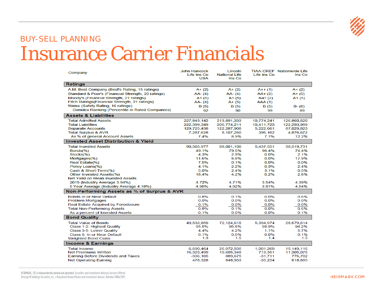

### BUY-SELL PLANNING Insurance Carrier Financials

| Company                                               | <b>John Hancock</b><br>Life Ins Co<br><b>USA</b> | 1 incoln<br><b>National Life</b><br>Ins Co | Life Ins Co    | <b>TIAA-CREF</b> Nationwide Life<br>Ins Co |
|-------------------------------------------------------|--------------------------------------------------|--------------------------------------------|----------------|--------------------------------------------|
| Ratings                                               |                                                  |                                            |                |                                            |
| A.M. Best Company (Best's Rating, 15 ratings)         | $A + (2)$                                        | $A + (2)$                                  | $A++(1)$       | $A + (2)$                                  |
| Standard & Poor's (Financial Strength, 20 ratings)    | AA-(4)                                           | $AA - (4)$                                 | $AA+(2)$       | $A + (5)$                                  |
| Moody's (Financial Strength, 21 ratings)              | A1(5)                                            | A <sub>1</sub> (5)                         | Aa $1(2)$      | A <sub>1</sub> $(5)$                       |
| Fitch Ratings (Financial Strength, 21 ratings)        | AA-(4)                                           | $A + (5)$                                  | <b>AAA (1)</b> |                                            |
| Weiss (Safety Rating, 16 ratings)                     | B (5)                                            | B (5)                                      | B (5)          | $B - (6)$                                  |
| <b>Comdex Ranking (Percentile in Rated Companies)</b> | 92                                               | 90                                         | 99             | 89                                         |
| <b>Assets &amp; Liabilities</b>                       |                                                  |                                            |                |                                            |
| <b>Total Admitted Assets</b>                          | 227,843,142                                      | 213,891,333                                | 10,774,241     | 126,860,520                                |
| <b>Total Liabilities</b>                              | 222,399,349                                      | 206,774,211                                | 10,411,723     | 122,293,999                                |
| <b>Separate Accounts</b>                              | 129,725,438                                      | 122,287,908                                | 5,222,661      | 87,029,823                                 |
| <b>Total Surplus &amp; AVR</b>                        | 7,287,628                                        | 8,107,260                                  | 396,162        | 4,876,672                                  |
| As % of general Account Assets                        | 7.4%                                             | 8.9%                                       | 7.1%           | 12.2%                                      |
| <b>Invested Asset Distribution &amp; Yield</b>        |                                                  |                                            |                |                                            |
| <b>Total Invested Assets</b>                          | 90,505,977                                       | 88,001,100                                 | 5,437,551      | 38,519,731                                 |
| Bonds(%)                                              | 49.1%                                            | 79.5%                                      | 96.4%          | 74.4%                                      |
| Stocks(%)                                             | 4.3%                                             | 2.9%                                       | 0.0%           | 2.1%                                       |
| Mortgages(%)                                          | 11.6%                                            | 8.8%                                       | 0.0%           | 17.9%                                      |
| Real Estate(%)                                        | 7.5%                                             | 0.1%                                       | 0.0%           | 0.0%                                       |
| Policy Loans(%)                                       | 4.1%                                             | 2.2%                                       | 0.3%           | 2.4%                                       |
| Cash & Short-Term(%)                                  | 5.0%                                             | 2.4%                                       | 3.1%           | 0.5%                                       |
| <b>Other Invested Assets(%)</b>                       | 18.4%                                            | 4.2%                                       | 0.2%           | 2.6%                                       |
| Net Yield on Mean Invested Assets                     |                                                  |                                            |                |                                            |
| 2015 (Industry Average 3.94%)                         | 4.72%                                            | 4.71%                                      | 3.54%          | 4.39%                                      |
| 5 Year Average (Industry Average 4.18%)               | 4.95%                                            | 4.92%                                      | 3.91%          | 4.54%                                      |
| Non-Performing Assets as % of Surplus & AVR           |                                                  |                                            |                |                                            |
| <b>Bonds In or Near Default</b>                       | 0.8%                                             | 0.1%                                       | 0.0%           | 0.6%                                       |
| <b>Problem Mortgages</b>                              | 0.0%                                             | 0.0%                                       | 0.0%           | 0.0%                                       |
| Real Estate Acquired by Foreclosure                   | 0.1%                                             | 0.0%                                       | 0.0%           | 0.0%                                       |
| <b>Total Non-Performing Assets</b>                    | 0.8%                                             | 0.1%                                       | 0.0%           | 0.6%                                       |
| As a percent of Invested Assets                       | 0.1%                                             | 0.0%                                       | 0.0%           | 0.1%                                       |
| <b>Bond Quality</b>                                   |                                                  |                                            |                |                                            |
| <b>Total Value of Bonds</b>                           | 49,532,859                                       | 72,124,618                                 | 5,394,974      | 28,679,614                                 |
| Class 1-2: Highest Quality                            | 95.5%                                            | 95.8%                                      | 98.9%          | 94.2%                                      |
| Class 3-5: Lower Quality                              | 4.4%                                             | 4.2%                                       | 1.1%           | 5.7%                                       |
| Class 6: In or Near Default                           | 0.1%                                             | 0.0%                                       | 0.0%           | 0.1%                                       |
| <b>Weighted Bond Class</b>                            | 1.3                                              | 1.5                                        | 1.4            | 1.5                                        |
| <b>Income &amp; Earnings</b>                          |                                                  |                                            |                |                                            |
| <b>Total Income</b>                                   | 6,690,464                                        | 26,972,535                                 | 1,001,269      | 15,149,116                                 |
| <b>Net Premiums Written</b>                           | 16,323,499                                       | 19,605,348                                 | 713,351        | 11,305,075                                 |
| <b>Earning Before Dividends and Taxes</b>             | -336.105                                         | 889,675                                    | $-31.711$      | 776,702                                    |
| <b>Net Operating Earning</b>                          | 478,328                                          | 848,933                                    | $-35,254$      | 618,895                                    |

HEIRMARK, LTD is independently owned and operated. Securities and Investment Advisory Services Offered Through M Holdings Securities, Inc. a Registered Broker/Dealer and Investment Advisor, Member FINRA/SIPC.